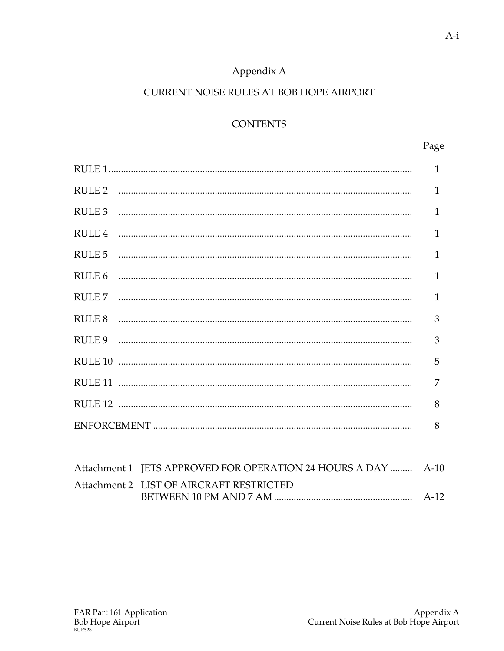# Appendix A

### CURRENT NOISE RULES AT BOB HOPE AIRPORT

# **CONTENTS**

|                   | $\mathbf{1}$   |
|-------------------|----------------|
|                   | $\mathbf{1}$   |
|                   | 1              |
| RULE <sub>4</sub> | $\mathbf{1}$   |
| RULE <sub>5</sub> | $\mathbf{1}$   |
| RULE <sub>6</sub> | $\mathbf{1}$   |
|                   | $\mathbf{1}$   |
|                   | 3              |
|                   | 3              |
|                   | 5              |
|                   | $\overline{7}$ |
|                   | 8              |
|                   | 8              |
|                   |                |

| Attachment 1 JETS APPROVED FOR OPERATION 24 HOURS A DAY  A-10 |  |
|---------------------------------------------------------------|--|
| Attachment 2 LIST OF AIRCRAFT RESTRICTED                      |  |
|                                                               |  |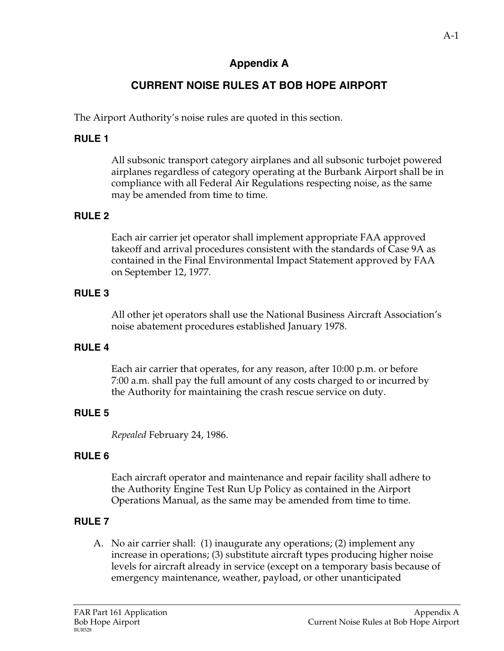# **Appendix A**

# **CURRENT NOISE RULES AT BOB HOPE AIRPORT**

The Airport Authority's noise rules are quoted in this section.

### **RULE 1**

 All subsonic transport category airplanes and all subsonic turbojet powered airplanes regardless of category operating at the Burbank Airport shall be in compliance with all Federal Air Regulations respecting noise, as the same may be amended from time to time.

## **RULE 2**

 Each air carrier jet operator shall implement appropriate FAA approved takeoff and arrival procedures consistent with the standards of Case 9A as contained in the Final Environmental Impact Statement approved by FAA on September 12, 1977.

#### **RULE 3**

 All other jet operators shall use the National Business Aircraft Association's noise abatement procedures established January 1978.

#### **RULE 4**

 Each air carrier that operates, for any reason, after 10:00 p.m. or before 7:00 a.m. shall pay the full amount of any costs charged to or incurred by the Authority for maintaining the crash rescue service on duty.

## **RULE 5**

 *Repealed* February 24, 1986.

## **RULE 6**

 Each aircraft operator and maintenance and repair facility shall adhere to the Authority Engine Test Run Up Policy as contained in the Airport Operations Manual, as the same may be amended from time to time.

## **RULE 7**

 A. No air carrier shall: (1) inaugurate any operations; (2) implement any increase in operations; (3) substitute aircraft types producing higher noise levels for aircraft already in service (except on a temporary basis because of emergency maintenance, weather, payload, or other unanticipated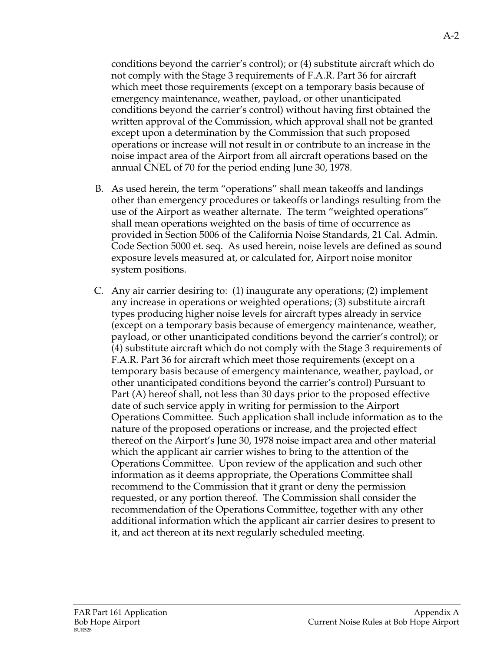conditions beyond the carrier's control); or (4) substitute aircraft which do not comply with the Stage 3 requirements of F.A.R. Part 36 for aircraft which meet those requirements (except on a temporary basis because of emergency maintenance, weather, payload, or other unanticipated conditions beyond the carrier's control) without having first obtained the written approval of the Commission, which approval shall not be granted except upon a determination by the Commission that such proposed operations or increase will not result in or contribute to an increase in the noise impact area of the Airport from all aircraft operations based on the annual CNEL of 70 for the period ending June 30, 1978.

- B. As used herein, the term "operations" shall mean takeoffs and landings other than emergency procedures or takeoffs or landings resulting from the use of the Airport as weather alternate. The term "weighted operations" shall mean operations weighted on the basis of time of occurrence as provided in Section 5006 of the California Noise Standards, 21 Cal. Admin. Code Section 5000 et. seq. As used herein, noise levels are defined as sound exposure levels measured at, or calculated for, Airport noise monitor system positions.
- C. Any air carrier desiring to: (1) inaugurate any operations; (2) implement any increase in operations or weighted operations; (3) substitute aircraft types producing higher noise levels for aircraft types already in service (except on a temporary basis because of emergency maintenance, weather, payload, or other unanticipated conditions beyond the carrier's control); or (4) substitute aircraft which do not comply with the Stage 3 requirements of F.A.R. Part 36 for aircraft which meet those requirements (except on a temporary basis because of emergency maintenance, weather, payload, or other unanticipated conditions beyond the carrier's control) Pursuant to Part (A) hereof shall, not less than 30 days prior to the proposed effective date of such service apply in writing for permission to the Airport Operations Committee. Such application shall include information as to the nature of the proposed operations or increase, and the projected effect thereof on the Airport's June 30, 1978 noise impact area and other material which the applicant air carrier wishes to bring to the attention of the Operations Committee. Upon review of the application and such other information as it deems appropriate, the Operations Committee shall recommend to the Commission that it grant or deny the permission requested, or any portion thereof. The Commission shall consider the recommendation of the Operations Committee, together with any other additional information which the applicant air carrier desires to present to it, and act thereon at its next regularly scheduled meeting.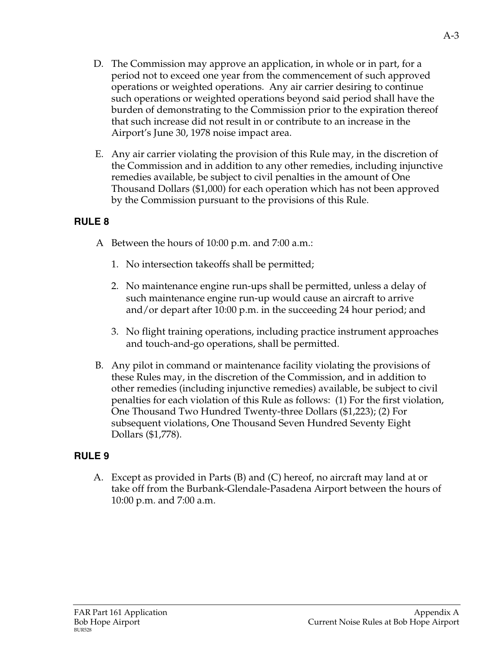- D. The Commission may approve an application, in whole or in part, for a period not to exceed one year from the commencement of such approved operations or weighted operations. Any air carrier desiring to continue such operations or weighted operations beyond said period shall have the burden of demonstrating to the Commission prior to the expiration thereof that such increase did not result in or contribute to an increase in the Airport's June 30, 1978 noise impact area.
- E. Any air carrier violating the provision of this Rule may, in the discretion of the Commission and in addition to any other remedies, including injunctive remedies available, be subject to civil penalties in the amount of One Thousand Dollars (\$1,000) for each operation which has not been approved by the Commission pursuant to the provisions of this Rule.

- A Between the hours of 10:00 p.m. and 7:00 a.m.:
	- 1. No intersection takeoffs shall be permitted;
	- 2. No maintenance engine run-ups shall be permitted, unless a delay of such maintenance engine run-up would cause an aircraft to arrive and/or depart after 10:00 p.m. in the succeeding 24 hour period; and
	- 3. No flight training operations, including practice instrument approaches and touch-and-go operations, shall be permitted.
- B. Any pilot in command or maintenance facility violating the provisions of these Rules may, in the discretion of the Commission, and in addition to other remedies (including injunctive remedies) available, be subject to civil penalties for each violation of this Rule as follows: (1) For the first violation, One Thousand Two Hundred Twenty-three Dollars (\$1,223); (2) For subsequent violations, One Thousand Seven Hundred Seventy Eight Dollars (\$1,778).

## **RULE 9**

A. Except as provided in Parts (B) and (C) hereof, no aircraft may land at or take off from the Burbank-Glendale-Pasadena Airport between the hours of 10:00 p.m. and 7:00 a.m.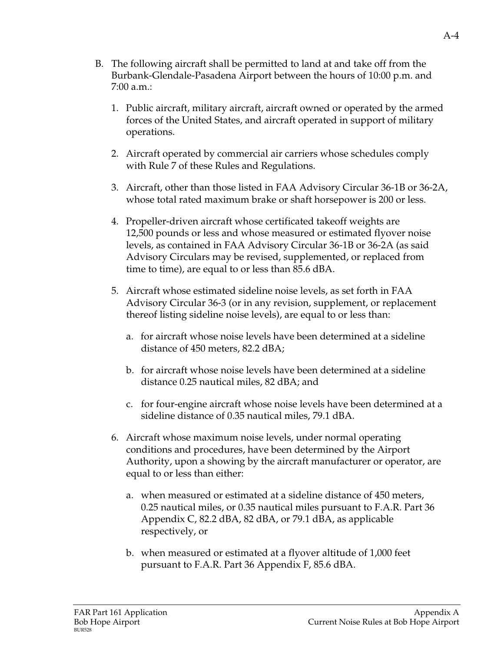- B. The following aircraft shall be permitted to land at and take off from the Burbank-Glendale-Pasadena Airport between the hours of 10:00 p.m. and 7:00 a.m.:
	- 1. Public aircraft, military aircraft, aircraft owned or operated by the armed forces of the United States, and aircraft operated in support of military operations.
	- 2. Aircraft operated by commercial air carriers whose schedules comply with Rule 7 of these Rules and Regulations.
	- 3. Aircraft, other than those listed in FAA Advisory Circular 36-1B or 36-2A, whose total rated maximum brake or shaft horsepower is 200 or less.
	- 4. Propeller-driven aircraft whose certificated takeoff weights are 12,500 pounds or less and whose measured or estimated flyover noise levels, as contained in FAA Advisory Circular 36-1B or 36-2A (as said Advisory Circulars may be revised, supplemented, or replaced from time to time), are equal to or less than 85.6 dBA.
	- 5. Aircraft whose estimated sideline noise levels, as set forth in FAA Advisory Circular 36-3 (or in any revision, supplement, or replacement thereof listing sideline noise levels), are equal to or less than:
		- a. for aircraft whose noise levels have been determined at a sideline distance of 450 meters, 82.2 dBA;
		- b.for aircraft whose noise levels have been determined at a sideline distance 0.25 nautical miles, 82 dBA; and
		- c.for four-engine aircraft whose noise levels have been determined at a sideline distance of 0.35 nautical miles, 79.1 dBA.
	- 6. Aircraft whose maximum noise levels, under normal operating conditions and procedures, have been determined by the Airport Authority, upon a showing by the aircraft manufacturer or operator, are equal to or less than either:
		- a.when measured or estimated at a sideline distance of 450 meters, 0.25 nautical miles, or 0.35 nautical miles pursuant to F.A.R. Part 36 Appendix C, 82.2 dBA, 82 dBA, or 79.1 dBA, as applicable respectively, or
		- b.when measured or estimated at a flyover altitude of 1,000 feet pursuant to F.A.R. Part 36 Appendix F, 85.6 dBA.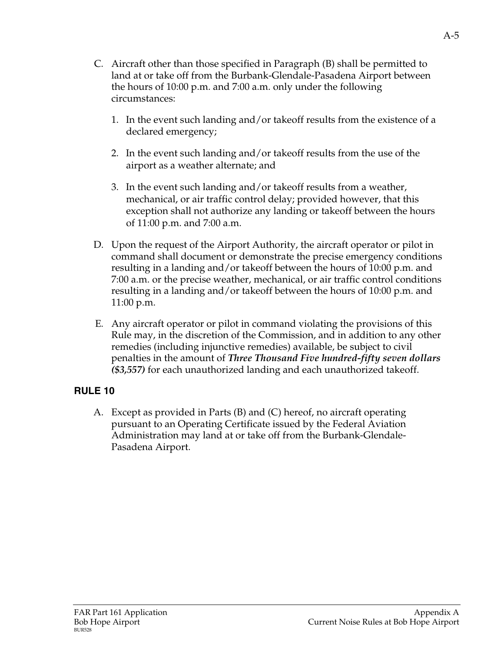- C*.* Aircraft other than those specified in Paragraph (B) shall be permitted to land at or take off from the Burbank-Glendale-Pasadena Airport between the hours of 10:00 p.m. and 7:00 a.m. only under the following circumstances:
	- 1. In the event such landing and/or takeoff results from the existence of a declared emergency;
	- 2. In the event such landing and/or takeoff results from the use of the airport as a weather alternate; and
	- 3. In the event such landing and/or takeoff results from a weather, mechanical, or air traffic control delay; provided however, that this exception shall not authorize any landing or takeoff between the hours of 11:00 p.m. and 7:00 a.m.
- D. Upon the request of the Airport Authority, the aircraft operator or pilot in command shall document or demonstrate the precise emergency conditions resulting in a landing and/or takeoff between the hours of 10:00 p.m. and 7:00 a.m. or the precise weather, mechanical, or air traffic control conditions resulting in a landing and/or takeoff between the hours of 10:00 p.m. and 11:00 p.m.
- E*.* Any aircraft operator or pilot in command violating the provisions of this Rule may, in the discretion of the Commission, and in addition to any other remedies (including injunctive remedies) available, be subject to civil penalties in the amount of *Three Thousand Five hundred-fifty seven dollars (\$3,557)* for each unauthorized landing and each unauthorized takeoff.

A. Except as provided in Parts (B) and (C) hereof, no aircraft operating pursuant to an Operating Certificate issued by the Federal Aviation Administration may land at or take off from the Burbank-Glendale-Pasadena Airport.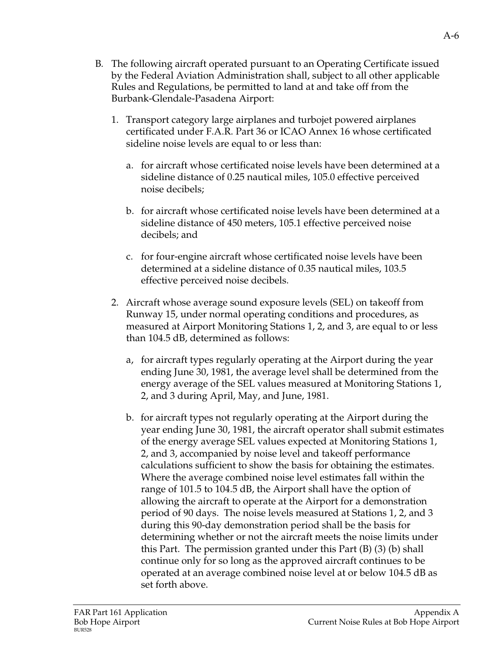- B*.* The following aircraft operated pursuant to an Operating Certificate issued by the Federal Aviation Administration shall, subject to all other applicable Rules and Regulations, be permitted to land at and take off from the Burbank-Glendale-Pasadena Airport:
	- 1. Transport category large airplanes and turbojet powered airplanes certificated under F.A.R. Part 36 or ICAO Annex 16 whose certificated sideline noise levels are equal to or less than:
		- a.for aircraft whose certificated noise levels have been determined at a sideline distance of 0.25 nautical miles, 105.0 effective perceived noise decibels;
		- b.for aircraft whose certificated noise levels have been determined at a sideline distance of 450 meters, 105.1 effective perceived noise decibels; and
		- c. for four-engine aircraft whose certificated noise levels have been determined at a sideline distance of 0.35 nautical miles, 103.5 effective perceived noise decibels.
	- 2. Aircraft whose average sound exposure levels (SEL) on takeoff from Runway 15, under normal operating conditions and procedures, as measured at Airport Monitoring Stations 1, 2, and 3, are equal to or less than 104.5 dB, determined as follows:
		- a,for aircraft types regularly operating at the Airport during the year ending June 30, 1981, the average level shall be determined from the energy average of the SEL values measured at Monitoring Stations 1, 2, and 3 during April, May, and June, 1981.
		- b. for aircraft types not regularly operating at the Airport during the year ending June 30, 1981, the aircraft operator shall submit estimates of the energy average SEL values expected at Monitoring Stations 1, 2, and 3, accompanied by noise level and takeoff performance calculations sufficient to show the basis for obtaining the estimates. Where the average combined noise level estimates fall within the range of 101.5 to 104.5 dB, the Airport shall have the option of allowing the aircraft to operate at the Airport for a demonstration period of 90 days. The noise levels measured at Stations 1, 2, and 3 during this 90-day demonstration period shall be the basis for determining whether or not the aircraft meets the noise limits under this Part. The permission granted under this Part (B) (3) (b) shall continue only for so long as the approved aircraft continues to be operated at an average combined noise level at or below 104.5 dB as set forth above.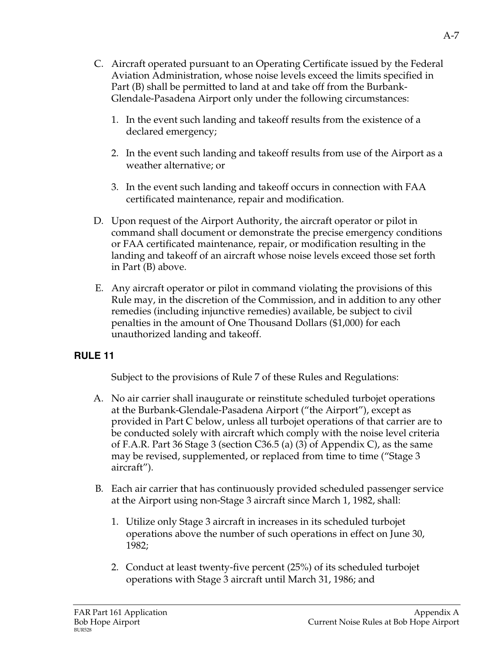- C. Aircraft operated pursuant to an Operating Certificate issued by the Federal Aviation Administration, whose noise levels exceed the limits specified in Part (B) shall be permitted to land at and take off from the Burbank-Glendale-Pasadena Airport only under the following circumstances:
	- 1. In the event such landing and takeoff results from the existence of a declared emergency;
	- 2. In the event such landing and takeoff results from use of the Airport as a weather alternative; or
	- 3. In the event such landing and takeoff occurs in connection with FAA certificated maintenance, repair and modification.
- D. Upon request of the Airport Authority, the aircraft operator or pilot in command shall document or demonstrate the precise emergency conditions or FAA certificated maintenance, repair, or modification resulting in the landing and takeoff of an aircraft whose noise levels exceed those set forth in Part (B) above.
- E. Any aircraft operator or pilot in command violating the provisions of this Rule may, in the discretion of the Commission, and in addition to any other remedies (including injunctive remedies) available, be subject to civil penalties in the amount of One Thousand Dollars (\$1,000) for each unauthorized landing and takeoff.

Subject to the provisions of Rule 7 of these Rules and Regulations:

- A. No air carrier shall inaugurate or reinstitute scheduled turbojet operations at the Burbank-Glendale-Pasadena Airport ("the Airport"), except as provided in Part C below, unless all turbojet operations of that carrier are to be conducted solely with aircraft which comply with the noise level criteria of F.A.R. Part 36 Stage 3 (section C36.5 (a) (3) of Appendix C), as the same may be revised, supplemented, or replaced from time to time ("Stage 3 aircraft").
- B*.* Each air carrier that has continuously provided scheduled passenger service at the Airport using non-Stage 3 aircraft since March 1, 1982, shall:
	- 1. Utilize only Stage 3 aircraft in increases in its scheduled turbojet operations above the number of such operations in effect on June 30, 1982;
	- 2. Conduct at least twenty-five percent (25%) of its scheduled turbojet operations with Stage 3 aircraft until March 31, 1986; and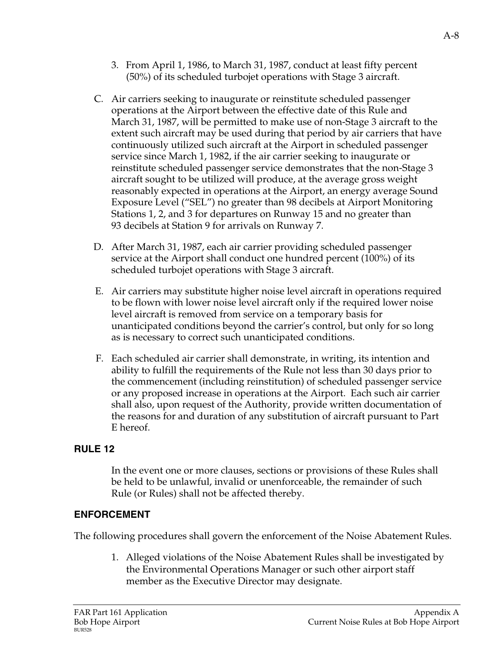- 3. From April 1, 1986, to March 31, 1987, conduct at least fifty percent (50%) of its scheduled turbojet operations with Stage 3 aircraft.
- C*.* Air carriers seeking to inaugurate or reinstitute scheduled passenger operations at the Airport between the effective date of this Rule and March 31, 1987, will be permitted to make use of non-Stage 3 aircraft to the extent such aircraft may be used during that period by air carriers that have continuously utilized such aircraft at the Airport in scheduled passenger service since March 1, 1982, if the air carrier seeking to inaugurate or reinstitute scheduled passenger service demonstrates that the non-Stage 3 aircraft sought to be utilized will produce, at the average gross weight reasonably expected in operations at the Airport, an energy average Sound Exposure Level ("SEL") no greater than 98 decibels at Airport Monitoring Stations 1, 2, and 3 for departures on Runway 15 and no greater than 93 decibels at Station 9 for arrivals on Runway 7.
- D. After March 31, 1987, each air carrier providing scheduled passenger service at the Airport shall conduct one hundred percent (100%) of its scheduled turbojet operations with Stage 3 aircraft.
- E. Air carriers may substitute higher noise level aircraft in operations required to be flown with lower noise level aircraft only if the required lower noise level aircraft is removed from service on a temporary basis for unanticipated conditions beyond the carrier's control, but only for so long as is necessary to correct such unanticipated conditions.
- F. Each scheduled air carrier shall demonstrate, in writing, its intention and ability to fulfill the requirements of the Rule not less than 30 days prior to the commencement (including reinstitution) of scheduled passenger service or any proposed increase in operations at the Airport. Each such air carrier shall also, upon request of the Authority, provide written documentation of the reasons for and duration of any substitution of aircraft pursuant to Part E hereof.

In the event one or more clauses, sections or provisions of these Rules shall be held to be unlawful, invalid or unenforceable, the remainder of such Rule (or Rules) shall not be affected thereby.

# **ENFORCEMENT**

The following procedures shall govern the enforcement of the Noise Abatement Rules.

1. Alleged violations of the Noise Abatement Rules shall be investigated by the Environmental Operations Manager or such other airport staff member as the Executive Director may designate.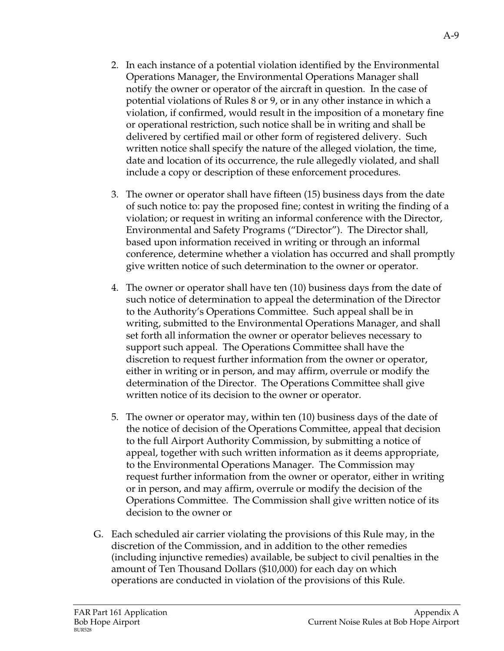- 2. In each instance of a potential violation identified by the Environmental Operations Manager, the Environmental Operations Manager shall notify the owner or operator of the aircraft in question. In the case of potential violations of Rules 8 or 9, or in any other instance in which a violation, if confirmed, would result in the imposition of a monetary fine or operational restriction, such notice shall be in writing and shall be delivered by certified mail or other form of registered delivery. Such written notice shall specify the nature of the alleged violation, the time, date and location of its occurrence, the rule allegedly violated, and shall include a copy or description of these enforcement procedures.
- 3. The owner or operator shall have fifteen (15) business days from the date of such notice to: pay the proposed fine; contest in writing the finding of a violation; or request in writing an informal conference with the Director, Environmental and Safety Programs ("Director"). The Director shall, based upon information received in writing or through an informal conference, determine whether a violation has occurred and shall promptly give written notice of such determination to the owner or operator.
- 4. The owner or operator shall have ten (10) business days from the date of such notice of determination to appeal the determination of the Director to the Authority's Operations Committee. Such appeal shall be in writing, submitted to the Environmental Operations Manager, and shall set forth all information the owner or operator believes necessary to support such appeal. The Operations Committee shall have the discretion to request further information from the owner or operator, either in writing or in person, and may affirm, overrule or modify the determination of the Director. The Operations Committee shall give written notice of its decision to the owner or operator.
- 5. The owner or operator may, within ten (10) business days of the date of the notice of decision of the Operations Committee, appeal that decision to the full Airport Authority Commission, by submitting a notice of appeal, together with such written information as it deems appropriate, to the Environmental Operations Manager. The Commission may request further information from the owner or operator, either in writing or in person, and may affirm, overrule or modify the decision of the Operations Committee. The Commission shall give written notice of its decision to the owner or
- G. Each scheduled air carrier violating the provisions of this Rule may, in the discretion of the Commission, and in addition to the other remedies (including injunctive remedies) available, be subject to civil penalties in the amount of Ten Thousand Dollars (\$10,000) for each day on which operations are conducted in violation of the provisions of this Rule.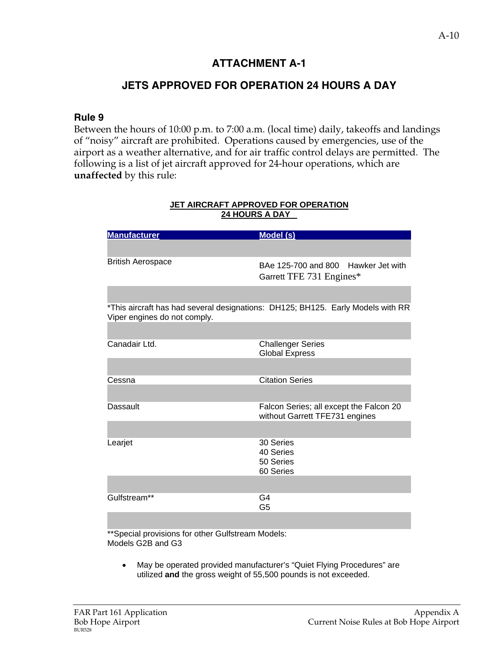## **JETS APPROVED FOR OPERATION 24 HOURS A DAY**

#### **Rule 9**

Between the hours of 10:00 p.m. to 7:00 a.m. (local time) daily, takeoffs and landings of "noisy" aircraft are prohibited. Operations caused by emergencies, use of the airport as a weather alternative, and for air traffic control delays are permitted. The following is a list of jet aircraft approved for 24-hour operations, which are **unaffected** by this rule:

| <b>Manufacturer</b>                             | Model (s)                                                                       |
|-------------------------------------------------|---------------------------------------------------------------------------------|
|                                                 |                                                                                 |
| <b>British Aerospace</b>                        | BAe 125-700 and 800 Hawker Jet with<br>Garrett TFE 731 Engines*                 |
|                                                 |                                                                                 |
| Viper engines do not comply.                    | *This aircraft has had several designations: DH125; BH125. Early Models with RR |
|                                                 |                                                                                 |
| Canadair Ltd.                                   | <b>Challenger Series</b><br><b>Global Express</b>                               |
|                                                 |                                                                                 |
| Cessna                                          | <b>Citation Series</b>                                                          |
|                                                 |                                                                                 |
| Dassault                                        | Falcon Series; all except the Falcon 20<br>without Garrett TFE731 engines       |
|                                                 |                                                                                 |
| Learjet                                         | 30 Series<br>40 Series<br>50 Series<br>60 Series                                |
|                                                 |                                                                                 |
| Gulfstream**                                    | G4<br>G <sub>5</sub>                                                            |
|                                                 |                                                                                 |
| $*$ condictoriation for the $O$ if the pool $M$ |                                                                                 |

#### **JET AIRCRAFT APPROVED FOR OPERATION 24 HOURS A DAY**

Special provisions for other Gulfstream Models: Models G2B and G3

• May be operated provided manufacturer's "Quiet Flying Procedures" are utilized **and** the gross weight of 55,500 pounds is not exceeded.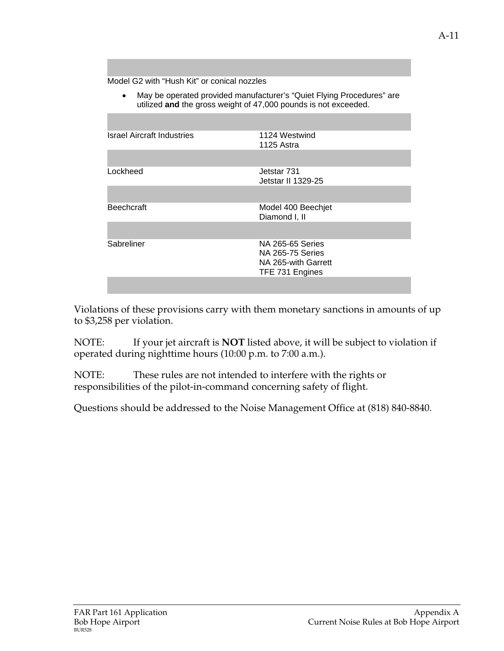Model G2 with "Hush Kit" or conical nozzles

• May be operated provided manufacturer's "Quiet Flying Procedures" are utilized **and** the gross weight of 47,000 pounds is not exceeded.

| <b>Israel Aircraft Industries</b> | 1124 Westwind<br>1125 Astra                 |
|-----------------------------------|---------------------------------------------|
|                                   |                                             |
| Lockheed                          | Jetstar 731<br>Jetstar II 1329-25           |
|                                   |                                             |
| <b>Beechcraft</b>                 | Model 400 Beechjet<br>Diamond I, II         |
|                                   |                                             |
| Sabreliner                        | NA 265-65 Series<br><b>NA 265-75 Series</b> |
|                                   | NA 265-with Garrett<br>TFE 731 Engines      |
|                                   |                                             |

Violations of these provisions carry with them monetary sanctions in amounts of up to \$3,258 per violation.

NOTE: If your jet aircraft is **NOT** listed above, it will be subject to violation if operated during nighttime hours (10:00 p.m. to 7:00 a.m.).

NOTE: These rules are not intended to interfere with the rights or responsibilities of the pilot-in-command concerning safety of flight.

Questions should be addressed to the Noise Management Office at (818) 840-8840.